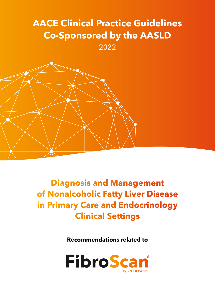## **AACE Clinical Practice Guidelines Co-Sponsored by the AASLD**  2022



**Diagnosis and Management of Nonalcoholic Fatty Liver Disease in Primary Care and Endocrinology Clinical Settings**

**Recommendations related to** 

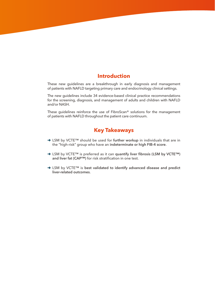## **Introduction**

These new guidelines are a breakthrough in early diagnosis and management of patients with NAFLD targeting primary care and endocrinology clinical settings.

The new guidelines include 34 evidence-based clinical practice recommendations for the screening, diagnosis, and management of adults and children with NAFLD and/or NASH.

These guidelines reinforce the use of FibroScan® solutions for the management of patients with NAFLD throughout the patient care continuum.

## **Key Takeaways**

- ➜ LSM by VCTE™ should be used for **further workup** in individuals that are in the "high-risk" group who have an **indeterminate or high FIB-4 score**.
- ➜ LSM by VCTE™ is preferred as it can **quantify liver fibrosis (LSM by VCTE™) and liver fat (CAP™)** for risk stratification in one test.
- ➜ LSM by VCTE™ is **best validated to identify advanced disease and predict liver-related outcomes**.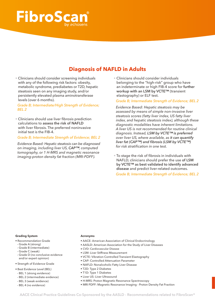# **FibroSca**

## **Diagnosis of NAFLD in Adults**

• Clinicians should consider screening individuals with any of the following risk factors: obesity, metabolic syndrome, prediabetes or T2D, hepatic steatosis seen on any imaging study, and/or persistently elevated plasma aminotransferase levels (over 6 months).

*Grade B; Intermediate/High Strength of Evidence; BEL 2*

• Clinicians should use liver fibrosis prediction calculations to **assess the risk of NAFLD** with liver fibrosis. The preferred noninvasive initial test is the FIB-4.

*Grade B; Intermediate Strength of Evidence; BEL 2*

*Evidence Based: Hepatic steatosis can be diagnosed on imaging, including liver US, CAP™, computed tomography, or 1 H-MRS and magnetic resonance imaging-proton density fat fraction (MRI-PDFF).* 

• Clinicians should consider individuals belonging to the "high-risk" group who have an indeterminate or high FIB-4 score for **further workup with an LSM by VCTE™** (transient elastography) or ELF test.

*Grade B; Intermediate Strength of Evidence; BEL 2*

*Evidence Based: Hepatic steatosis may be assessed by means of simple non-invasive liver steatosis scores (fatty liver index, US fatty liver index, and hepatic steatosis index), although these diagnostic modalities have inherent limitations. A liver US is not recommended for routine clinical diagnosis. Instead, LSM by VCTE™ is preferred over liver US, where available, as it can quantify liver fat (CAP™) and fibrosis (LSM by VCTE™) for risk stratification in one test.*

• To stage the risk of fibrosis in individuals with NAFLD, clinicians should prefer the use **of LSM by VCTE™ as best validated to identify advanced disease** and predict liver-related outcomes.

*Grade B; Intermediate Strength of Evidence; BEL 2*

#### **Grading System**

- Recommendation Grade
- Grade A (strong)
- Grade B (intermediate)
- Grade C (weak)
- Grade D (no conclusive evidence and/or expert opinion)
- Strength of Evidence Grade
- Best Evidence Level (BEL)
- BEL 1 (strong evidence)
- BEL 2 (intermediate evidence)
- BEL 3 (weak evidence)
- BEL 4 (no evidence)

#### **Acronyms**

- AACE: American Association of Clinical Endocrinology
- AASLD: American Association for the Study of Liver Diseases
- CVD: Cardiovascular Disease
- LSM: Liver Stiffness Measurement
- VCTE: Vibration Controlled Transient Elastography
- CAP: Controlled Attenuation Parameter
- NAFLD: Nonalcoholic Fatty Liver Disease
- T2D: Type 2 Diabetes
- T1D: Type 1 Diabetes
- Liver US: Liver Ultrasound
- H-MRS: Proton Magnetic Resonance Spectroscopy
- MRI PDFF: Magnetic Resonance Imaging Proton Density Fat Fraction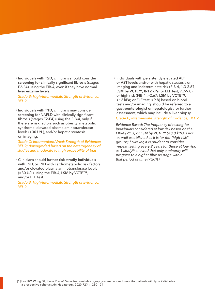• **Individuals with T2D**, clinicians should consider **screening for clinically significant fibrosis** (stages F2-F4) using the FIB-4, even if they have normal liver enzyme levels.

*Grade B; High/Intermediate Strength of Evidence; BEL 2*

• **Individuals with T1D**, clinicians may consider screening for NAFLD with clinically significant fibrosis (stages F2-F4) using the FIB-4, only if there are risk factors such as obesity, metabolic syndrome, elevated plasma aminotransferase levels (>30 U/L), and/or hepatic steatosis on imaging.

*Grade C; Intermediate/Weak Strength of Evidence; BEL 2; downgraded based on the heterogeneity of studies and moderate to high probability of bias*

• Clinicians should further **risk stratify individuals with T2D, or T1D** with cardiometabolic risk factors and/or elevated plasma aminotransferase levels (>30 U/L) using the FIB-4, **LSM by VCTE™**, and/or ELF test.

*Grade B; High/Intermediate Strength of Evidence; BEL 2*

• Individuals with **persistently elevated ALT or AST levels** and/or with hepatic steatosis on imaging and indeterminate risk (FIB-4, 1.3-2.67; **LSM by VCTE™, 8-12 kPa**; or ELF test, 7.7-9.8) or high risk (FIB-4, >2.67; **LSM by VCTE™, >12 kPa**; or ELF test, >9.8) based on blood tests and/or imaging should be **referred to a gastroenterologist or hepatologist** for further assessment, which may include a liver biopsy.

*Grade B; Intermediate Strength of Evidence; BEL 2*

*Evidence Based: The frequency of testing for individuals considered at low risk based on the FIB-4 (<1.3) or LSM by VCTE™ (<8.0 kPa) is not as well established as it is for the "high-risk" groups; however, it is prudent to consider repeat testing every 2 years for those at low risk, as 1 study[1] showed that only a minority will progress to a higher fibrosis stage within that period of time (<20%).*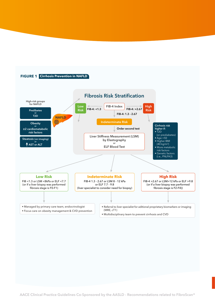

**AACE Clinical Practice Guidelines Co-Sponsored by the AASLD - Recommendations related to FibroScan®**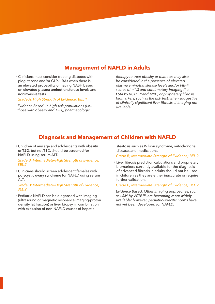## **Management of NAFLD in Adults**

• Clinicians must consider treating diabetes with pioglitazone and/or GLP-1 RAs when there is an elevated probability of having NASH based on **elevated plasma aminotransferase levels** and **noninvasive tests**.

#### *Grade A; High Strength of Evidence; BEL 1*

*Evidence Based: in high-risk populations (i.e., those with obesity and T2D), pharmacologic* 

*therapy to treat obesity or diabetes may also be considered in the presence of elevated plasma aminotransferase levels and/or FIB-4 scores of >1.3 and confirmatory imaging (i.e., LSM by VCTE™ and MRE) or proprietary fibrosis biomarkers, such as the ELF test, when suggestive of clinically significant liver fibrosis, if imaging not available.*

## **Diagnosis and Management of Children with NAFLD**

• Children of any age and adolescents with **obesity or T2D**, but not T1D, should **be screened for NAFLD** using serum ALT.

*Grade B; Intermediate/High Strength of Evidence; BEL 2* 

• Clinicians should screen adolescent females with **polycystic ovary syndrome** for NAFLD using serum ALT.

*Grade B; Intermediate/High Strength of Evidence; BEL 2*

• Pediatric NAFLD can be diagnosed with imaging (ultrasound or magnetic resonance imaging-proton density fat fraction) or liver biopsy, in combination with exclusion of non-NAFLD causes of hepatic

steatosis such as Wilson syndrome, mitochondrial disease, and medications.

*Grade B; Intermediate Strength of Evidence; BEL 2*

• Liver fibrosis prediction calculations and proprietary biomarkers currently available for the diagnosis of advanced fibrosis in adults should **not** be used in children as they are either inaccurate or require further validation.

#### *Grade B; Intermediate Strength of Evidence; BEL 2*

*Evidence Based: Other imaging approaches, such as LSM by VCTE™, are becoming more widely available; however, pediatric-specific norms have not yet been developed for NAFLD.*